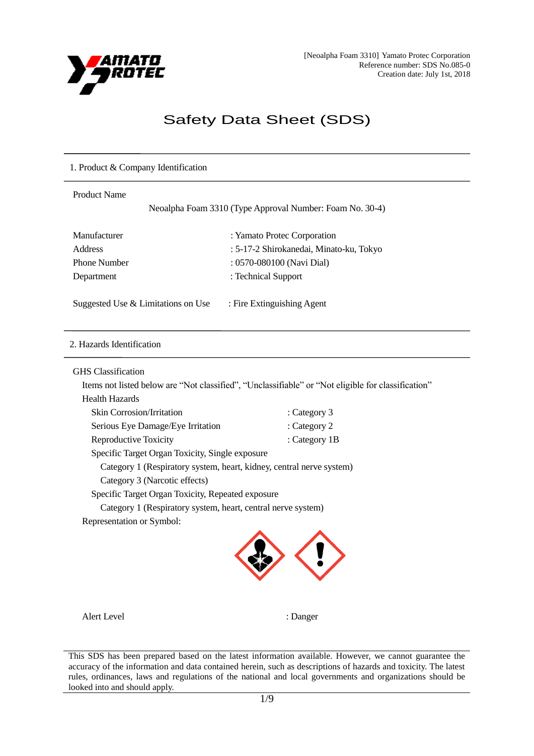

## Safety Data Sheet (SDS)

# 1. Product & Company Identification Product Name Neoalpha Foam 3310 (Type Approval Number: Foam No. 30-4) Manufacturer : Yamato Protec Corporation Address : 5-17-2 Shirokanedai, Minato-ku, Tokyo Phone Number : 0570-080100 (Navi Dial) Department : Technical Support Suggested Use & Limitations on Use : Fire Extinguishing Agent

### 2. Hazards Identification

GHS Classification

Items not listed below are "Not classified", "Unclassifiable" or "Not eligible for classification" Health Hazards

| Ticaiul Hazaius                                                      |               |
|----------------------------------------------------------------------|---------------|
| <b>Skin Corrosion/Irritation</b>                                     | : Category 3  |
| Serious Eye Damage/Eye Irritation                                    | : Category 2  |
| <b>Reproductive Toxicity</b>                                         | : Category 1B |
| Specific Target Organ Toxicity, Single exposure                      |               |
| Category 1 (Respiratory system, heart, kidney, central nerve system) |               |
| Category 3 (Narcotic effects)                                        |               |
| Specific Target Organ Toxicity, Repeated exposure                    |               |
| Category 1 (Respiratory system, heart, central nerve system)         |               |
| Representation or Symbol:                                            |               |



Alert Level : Danger

This SDS has been prepared based on the latest information available. However, we cannot guarantee the accuracy of the information and data contained herein, such as descriptions of hazards and toxicity. The latest rules, ordinances, laws and regulations of the national and local governments and organizations should be looked into and should apply.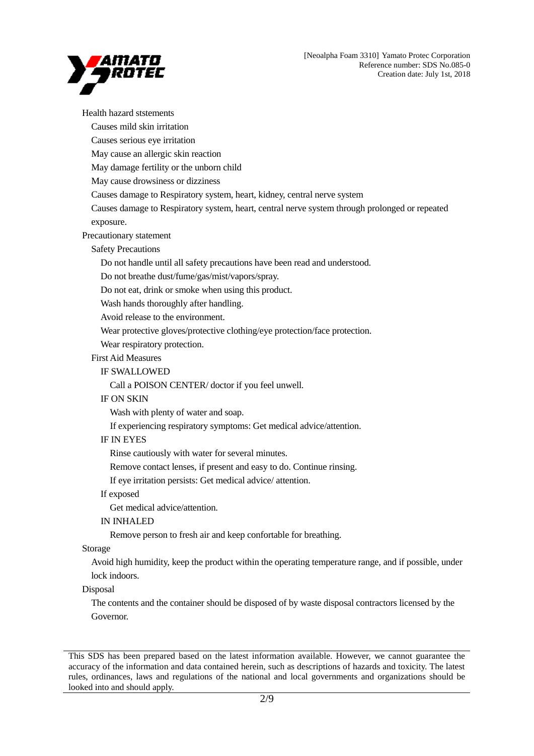

Health hazard ststements Causes mild skin irritation Causes serious eye irritation May cause an allergic skin reaction May damage fertility or the unborn child May cause drowsiness or dizziness Causes damage to Respiratory system, heart, kidney, central nerve system Causes damage to Respiratory system, heart, central nerve system through prolonged or repeated exposure. Precautionary statement Safety Precautions Do not handle until all safety precautions have been read and understood. Do not breathe dust/fume/gas/mist/vapors/spray. Do not eat, drink or smoke when using this product. Wash hands thoroughly after handling. Avoid release to the environment. Wear protective gloves/protective clothing/eye protection/face protection. Wear respiratory protection. First Aid Measures IF SWALLOWED Call a POISON CENTER/ doctor if you feel unwell. IF ON SKIN Wash with plenty of water and soap. If experiencing respiratory symptoms: Get medical advice/attention. IF IN EYES Rinse cautiously with water for several minutes. Remove contact lenses, if present and easy to do. Continue rinsing. If eye irritation persists: Get medical advice/ attention. If exposed Get medical advice/attention. IN INHALED Remove person to fresh air and keep confortable for breathing. Storage Avoid high humidity, keep the product within the operating temperature range, and if possible, under lock indoors. Disposal The contents and the container should be disposed of by waste disposal contractors licensed by the Governor.

This SDS has been prepared based on the latest information available. However, we cannot guarantee the accuracy of the information and data contained herein, such as descriptions of hazards and toxicity. The latest rules, ordinances, laws and regulations of the national and local governments and organizations should be looked into and should apply.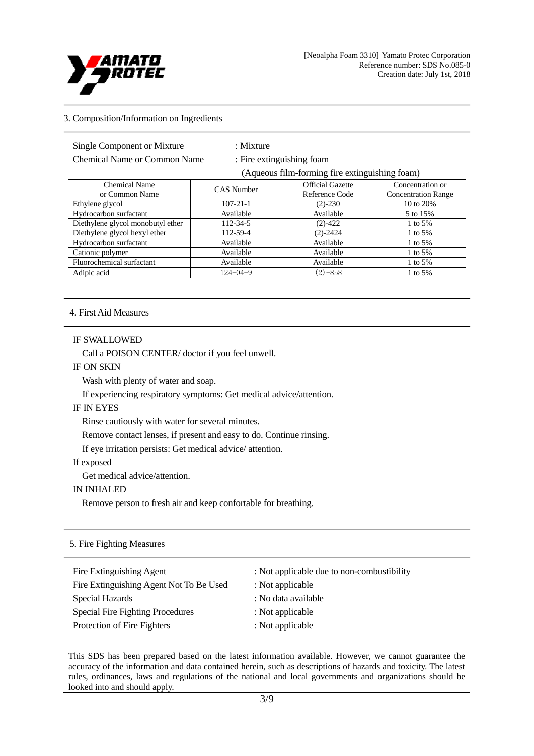

#### 3. Composition/Information on Ingredients

Chemical Name or Common Name : Fire extinguishing foam

: Mixture

(Aqueous film-forming fire extinguishing foam)

| Chemical Name                     | <b>CAS</b> Number | <b>Official Gazette</b> | Concentration or           |
|-----------------------------------|-------------------|-------------------------|----------------------------|
| or Common Name                    |                   | Reference Code          | <b>Concentration Range</b> |
| Ethylene glycol                   | $107 - 21 - 1$    | $(2) - 230$             | 10 to 20%                  |
| Hydrocarbon surfactant            | Available         | Available               | 5 to 15%                   |
| Diethylene glycol monobutyl ether | $112 - 34 - 5$    | $(2) - 422$             | 1 to $5%$                  |
| Diethylene glycol hexyl ether     | 112-59-4          | $(2) - 2424$            | 1 to 5%                    |
| Hydrocarbon surfactant            | Available         | Available               | 1 to 5%                    |
| Cationic polymer                  | Available         | Available               | 1 to 5%                    |
| Fluorochemical surfactant         | Available         | Available               | 1 to 5%                    |
| Adipic acid                       | $124 - 04 - 9$    | $(2) - 858$             | 1 to 5%                    |

#### 4. First Aid Measures

#### IF SWALLOWED

Call a POISON CENTER/ doctor if you feel unwell.

IF ON SKIN

Wash with plenty of water and soap.

If experiencing respiratory symptoms: Get medical advice/attention.

#### IF IN EYES

Rinse cautiously with water for several minutes.

Remove contact lenses, if present and easy to do. Continue rinsing.

If eye irritation persists: Get medical advice/ attention.

#### If exposed

Get medical advice/attention.

#### IN INHALED

Remove person to fresh air and keep confortable for breathing.

#### 5. Fire Fighting Measures

| Fire Extinguishing Agent                | : Not applicable due to non-combustibility |
|-----------------------------------------|--------------------------------------------|
| Fire Extinguishing Agent Not To Be Used | : Not applicable                           |
| Special Hazards                         | : No data available                        |
| Special Fire Fighting Procedures        | : Not applicable                           |
| Protection of Fire Fighters             | : Not applicable                           |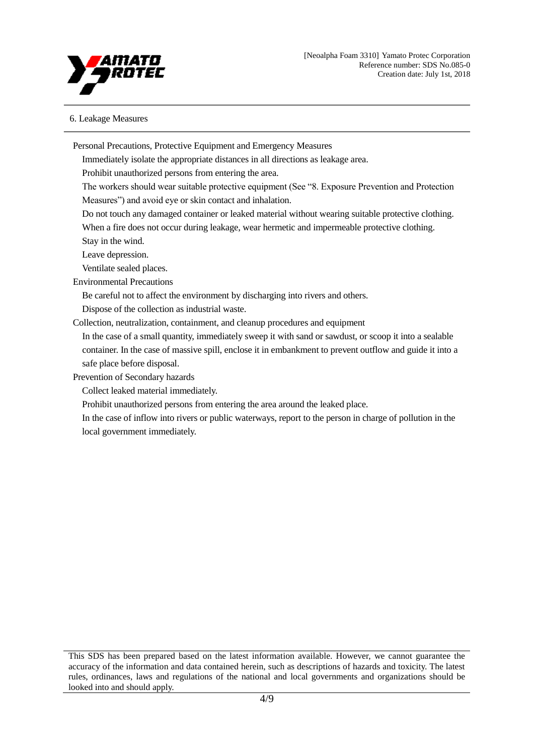

#### 6. Leakage Measures

Personal Precautions, Protective Equipment and Emergency Measures

Immediately isolate the appropriate distances in all directions as leakage area.

Prohibit unauthorized persons from entering the area.

The workers should wear suitable protective equipment (See "8. Exposure Prevention and Protection Measures") and avoid eye or skin contact and inhalation.

Do not touch any damaged container or leaked material without wearing suitable protective clothing.

When a fire does not occur during leakage, wear hermetic and impermeable protective clothing. Stay in the wind.

Leave depression.

Ventilate sealed places.

Environmental Precautions

Be careful not to affect the environment by discharging into rivers and others.

Dispose of the collection as industrial waste.

Collection, neutralization, containment, and cleanup procedures and equipment

In the case of a small quantity, immediately sweep it with sand or sawdust, or scoop it into a sealable container. In the case of massive spill, enclose it in embankment to prevent outflow and guide it into a safe place before disposal.

Prevention of Secondary hazards

Collect leaked material immediately.

Prohibit unauthorized persons from entering the area around the leaked place.

In the case of inflow into rivers or public waterways, report to the person in charge of pollution in the local government immediately.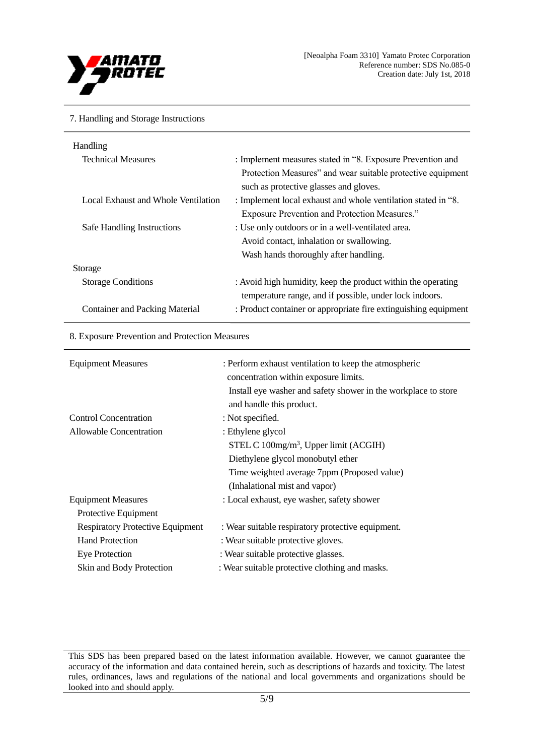

#### 7. Handling and Storage Instructions

| : Implement measures stated in "8. Exposure Prevention and      |
|-----------------------------------------------------------------|
| Protection Measures" and wear suitable protective equipment     |
| such as protective glasses and gloves.                          |
| : Implement local exhaust and whole ventilation stated in "8.   |
| <b>Exposure Prevention and Protection Measures."</b>            |
| : Use only outdoors or in a well-ventilated area.               |
| Avoid contact, inhalation or swallowing.                        |
| Wash hands thoroughly after handling.                           |
|                                                                 |
| : Avoid high humidity, keep the product within the operating    |
| temperature range, and if possible, under lock indoors.         |
| : Product container or appropriate fire extinguishing equipment |
|                                                                 |

#### 8. Exposure Prevention and Protection Measures

| <b>Equipment Measures</b>               | : Perform exhaust ventilation to keep the atmospheric<br>concentration within exposure limits.<br>Install eye washer and safety shower in the workplace to store<br>and handle this product. |
|-----------------------------------------|----------------------------------------------------------------------------------------------------------------------------------------------------------------------------------------------|
| <b>Control Concentration</b>            | : Not specified.                                                                                                                                                                             |
| Allowable Concentration                 | : Ethylene glycol                                                                                                                                                                            |
|                                         | STEL C $100$ mg/m <sup>3</sup> , Upper limit (ACGIH)                                                                                                                                         |
|                                         | Diethylene glycol monobutyl ether                                                                                                                                                            |
|                                         | Time weighted average 7ppm (Proposed value)                                                                                                                                                  |
|                                         | (Inhalational mist and vapor)                                                                                                                                                                |
| <b>Equipment Measures</b>               | : Local exhaust, eye washer, safety shower                                                                                                                                                   |
| Protective Equipment                    |                                                                                                                                                                                              |
| <b>Respiratory Protective Equipment</b> | : Wear suitable respiratory protective equipment.                                                                                                                                            |
| <b>Hand Protection</b>                  | : Wear suitable protective gloves.                                                                                                                                                           |
| Eye Protection                          | : Wear suitable protective glasses.                                                                                                                                                          |
| Skin and Body Protection                | : Wear suitable protective clothing and masks.                                                                                                                                               |

This SDS has been prepared based on the latest information available. However, we cannot guarantee the accuracy of the information and data contained herein, such as descriptions of hazards and toxicity. The latest rules, ordinances, laws and regulations of the national and local governments and organizations should be looked into and should apply.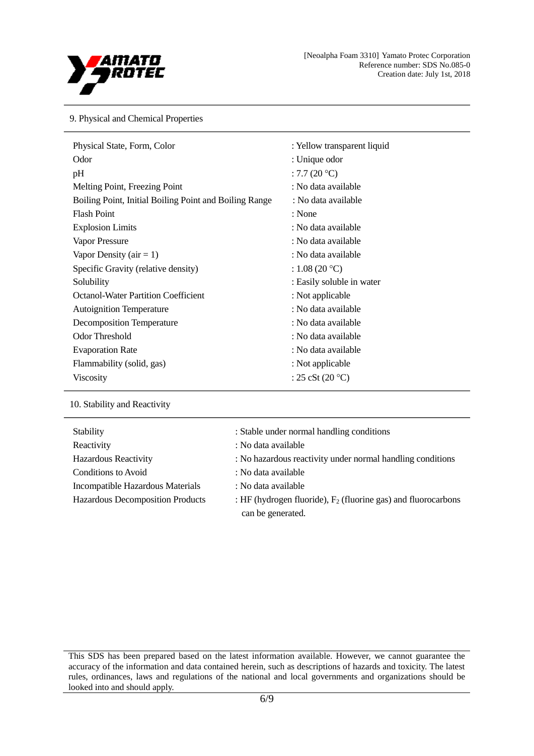

#### 9. Physical and Chemical Properties

| Physical State, Form, Color                            | : Yellow transparent liquid |
|--------------------------------------------------------|-----------------------------|
| Odor                                                   | : Unique odor               |
| pH                                                     | : 7.7 $(20 °C)$             |
| Melting Point, Freezing Point                          | : No data available         |
| Boiling Point, Initial Boiling Point and Boiling Range | : No data available         |
| <b>Flash Point</b>                                     | : None                      |
| <b>Explosion Limits</b>                                | : No data available         |
| Vapor Pressure                                         | : No data available         |
| Vapor Density ( $air = 1$ )                            | : No data available         |
| Specific Gravity (relative density)                    | : $1.08(20 °C)$             |
| Solubility                                             | : Easily soluble in water   |
| <b>Octanol-Water Partition Coefficient</b>             | : Not applicable            |
| <b>Autoignition Temperature</b>                        | : No data available         |
| <b>Decomposition Temperature</b>                       | : No data available         |
| <b>Odor Threshold</b>                                  | : No data available         |
| <b>Evaporation Rate</b>                                | : No data available         |
| Flammability (solid, gas)                              | : Not applicable            |
| <b>Viscosity</b>                                       | : $25 cSt (20 °C)$          |

10. Stability and Reactivity

| Stability                        | : Stable under normal handling conditions                                             |
|----------------------------------|---------------------------------------------------------------------------------------|
| Reactivity                       | : No data available                                                                   |
| <b>Hazardous Reactivity</b>      | : No hazardous reactivity under normal handling conditions                            |
| Conditions to Avoid              | : No data available                                                                   |
| Incompatible Hazardous Materials | : No data available                                                                   |
| Hazardous Decomposition Products | : HF (hydrogen fluoride), $F_2$ (fluorine gas) and fluorocarbons<br>can be generated. |

This SDS has been prepared based on the latest information available. However, we cannot guarantee the accuracy of the information and data contained herein, such as descriptions of hazards and toxicity. The latest rules, ordinances, laws and regulations of the national and local governments and organizations should be looked into and should apply.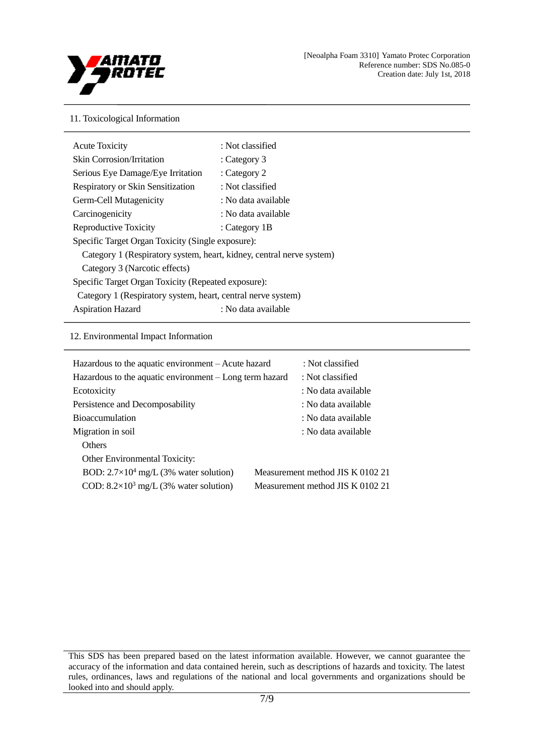

#### 11. Toxicological Information

| <b>Acute Toxicity</b>                                                | : Not classified    |  |
|----------------------------------------------------------------------|---------------------|--|
| <b>Skin Corrosion/Irritation</b>                                     | : Category $3$      |  |
| Serious Eye Damage/Eye Irritation                                    | : Category 2        |  |
| <b>Respiratory or Skin Sensitization</b>                             | : Not classified    |  |
| Germ-Cell Mutagenicity                                               | : No data available |  |
| Carcinogenicity                                                      | : No data available |  |
| Reproductive Toxicity                                                | : Category 1B       |  |
| Specific Target Organ Toxicity (Single exposure):                    |                     |  |
| Category 1 (Respiratory system, heart, kidney, central nerve system) |                     |  |
| Category 3 (Narcotic effects)                                        |                     |  |
| Specific Target Organ Toxicity (Repeated exposure):                  |                     |  |
| Category 1 (Respiratory system, heart, central nerve system)         |                     |  |
| <b>Aspiration Hazard</b>                                             | : No data available |  |

#### 12. Environmental Impact Information

| Hazardous to the aquatic environment – Acute hazard<br>Hazardous to the aquatic environment – Long term hazard | : Not classified<br>: Not classified |
|----------------------------------------------------------------------------------------------------------------|--------------------------------------|
| Ecotoxicity                                                                                                    | : No data available                  |
| Persistence and Decomposability                                                                                | : No data available                  |
| <b>Bioaccumulation</b>                                                                                         | : No data available                  |
| Migration in soil                                                                                              | : No data available                  |
| <b>Others</b>                                                                                                  |                                      |
| <b>Other Environmental Toxicity:</b>                                                                           |                                      |
| BOD: $2.7 \times 10^4$ mg/L (3% water solution)                                                                | Measurement method JIS K 0102 21     |
| COD: $8.2 \times 10^3$ mg/L (3% water solution)                                                                | Measurement method JIS K 0102 21     |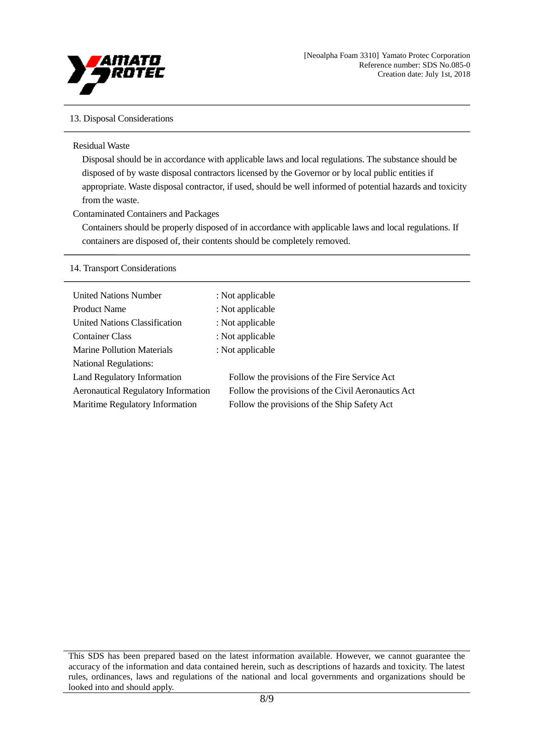

#### 13. Disposal Considerations

#### Residual Waste

Disposal should be in accordance with applicable laws and local regulations. The substance should be disposed of by waste disposal contractors licensed by the Governor or by local public entities if appropriate. Waste disposal contractor, if used, should be well informed of potential hazards and toxicity from the waste.

#### Contaminated Containers and Packages

Containers should be properly disposed of in accordance with applicable laws and local regulations. If containers are disposed of, their contents should be completely removed.

#### 14. Transport Considerations

| <b>United Nations Number</b>               | : Not applicable                                   |
|--------------------------------------------|----------------------------------------------------|
| <b>Product Name</b>                        | : Not applicable                                   |
| United Nations Classification              | : Not applicable                                   |
| <b>Container Class</b>                     | : Not applicable                                   |
| <b>Marine Pollution Materials</b>          | : Not applicable                                   |
| <b>National Regulations:</b>               |                                                    |
| <b>Land Regulatory Information</b>         | Follow the provisions of the Fire Service Act      |
| <b>Aeronautical Regulatory Information</b> | Follow the provisions of the Civil Aeronautics Act |
| Maritime Regulatory Information            | Follow the provisions of the Ship Safety Act       |